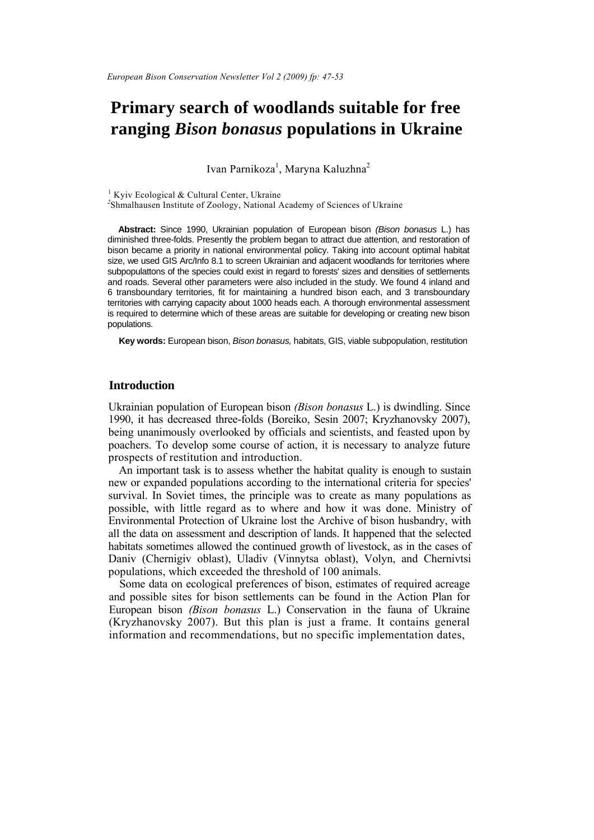# **Primary search of woodlands suitable for free ranging** *Bison bonasus* **populations in Ukraine**

Ivan Parnikoza<sup>1</sup>, Maryna Kaluzhna<sup>2</sup>

<sup>1</sup> Kyiv Ecological & Cultural Center, Ukraine <sup>2</sup>Shmalhausen Institute of Zoology, National Academy of Sciences of Ukraine

**Abstract:** Since 1990, Ukrainian population of European bison *(Bison bonasus* L.) has diminished three-folds. Presently the problem began to attract due attention, and restoration of bison became a priority in national environmental policy. Taking into account optimal habitat size, we used GIS Arc/Info 8.1 to screen Ukrainian and adjacent woodlands for territories where subpopulattons of the species could exist in regard to forests' sizes and densities of settlements and roads. Several other parameters were also included in the study. We found 4 inland and 6 transboundary territories, fit for maintaining a hundred bison each, and 3 transboundary territories with carrying capacity about 1000 heads each. A thorough environmental assessment is required to determine which of these areas are suitable for developing or creating new bison populations.

**Key words:** European bison, *Bison bonasus,* habitats, GIS, viable subpopulation, restitution

# **Introduction**

Ukrainian population of European bison *(Bison bonasus* L.) is dwindling. Since 1990, it has decreased three-folds (Boreiko, Sesin 2007; Kryzhanovsky 2007), being unanimously overlooked by officials and scientists, and feasted upon by poachers. To develop some course of action, it is necessary to analyze future prospects of restitution and introduction.

An important task is to assess whether the habitat quality is enough to sustain new or expanded populations according to the international criteria for species' survival. In Soviet times, the principle was to create as many populations as possible, with little regard as to where and how it was done. Ministry of Environmental Protection of Ukraine lost the Archive of bison husbandry, with all the data on assessment and description of lands. It happened that the selected habitats sometimes allowed the continued growth of livestock, as in the cases of Daniv (Chernigiv oblast), Uladiv (Vinnytsa oblast), Volyn, and Chernivtsi populations, which exceeded the threshold of 100 animals.

Some data on ecological preferences of bison, estimates of required acreage and possible sites for bison settlements can be found in the Action Plan for European bison *(Bison bonasus* L.) Conservation in the fauna of Ukraine (Kryzhanovsky 2007). But this plan is just a frame. It contains general information and recommendations, but no specific implementation dates,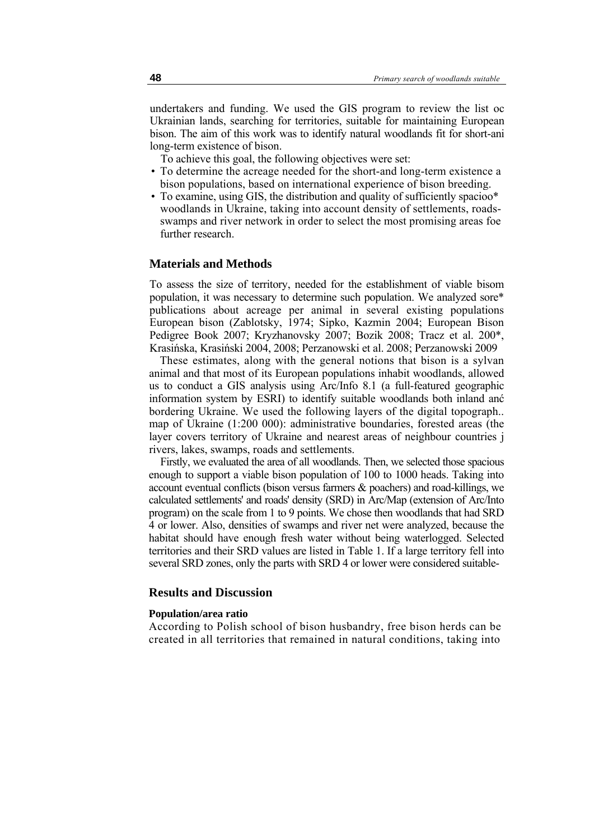undertakers and funding. We used the GIS program to review the list oc Ukrainian lands, searching for territories, suitable for maintaining European bison. The aim of this work was to identify natural woodlands fit for short-ani long-term existence of bison.

To achieve this goal, the following objectives were set:

- To determine the acreage needed for the short-and long-term existence a bison populations, based on international experience of bison breeding.
- To examine, using GIS, the distribution and quality of sufficiently spacioo\* woodlands in Ukraine, taking into account density of settlements, roadsswamps and river network in order to select the most promising areas foe further research.

# **Materials and Methods**

To assess the size of territory, needed for the establishment of viable bisom population, it was necessary to determine such population. We analyzed sore\* publications about acreage per animal in several existing populations European bison (Zablotsky, 1974; Sipko, Kazmin 2004; European Bison Pedigree Book 2007; Kryzhanovsky 2007; Bozik 2008; Tracz et al. 200\*, Krasińska, Krasiński 2004, 2008; Perzanowski et al. 2008; Perzanowski 2009

These estimates, along with the general notions that bison is a sylvan animal and that most of its European populations inhabit woodlands, allowed us to conduct a GIS analysis using Arc/Info 8.1 (a full-featured geographic information system by ESRI) to identify suitable woodlands both inland anć bordering Ukraine. We used the following layers of the digital topograph.. map of Ukraine (1:200 000): administrative boundaries, forested areas (the layer covers territory of Ukraine and nearest areas of neighbour countries j rivers, lakes, swamps, roads and settlements.

Firstly, we evaluated the area of all woodlands. Then, we selected those spacious enough to support a viable bison population of 100 to 1000 heads. Taking into account eventual conflicts (bison versus farmers & poachers) and road-killings, we calculated settlements' and roads' density (SRD) in Arc/Map (extension of Arc/Into program) on the scale from 1 to 9 points. We chose then woodlands that had SRD 4 or lower. Also, densities of swamps and river net were analyzed, because the habitat should have enough fresh water without being waterlogged. Selected territories and their SRD values are listed in Table 1. If a large territory fell into several SRD zones, only the parts with SRD 4 or lower were considered suitable-

#### **Results and Discussion**

#### **Population/area ratio**

According to Polish school of bison husbandry, free bison herds can be created in all territories that remained in natural conditions, taking into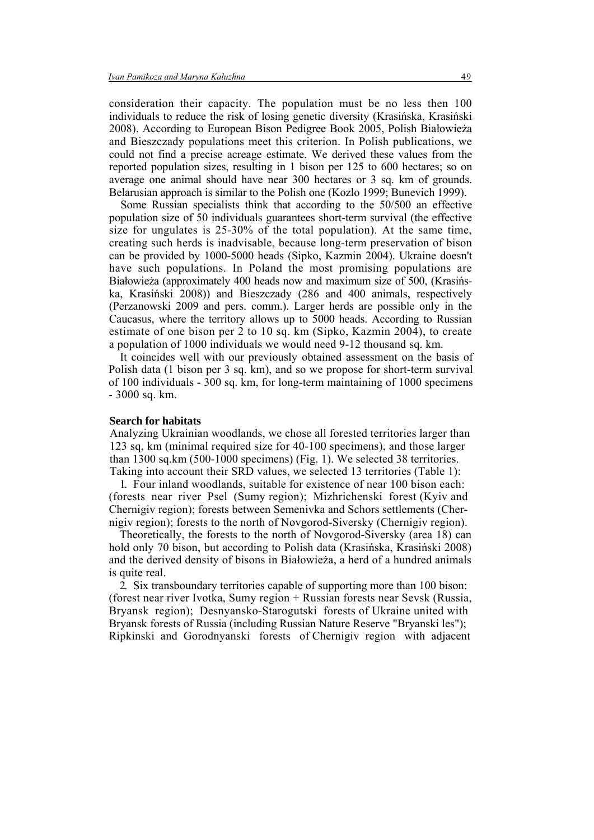consideration their capacity. The population must be no less then 100 individuals to reduce the risk of losing genetic diversity (Krasińska, Krasiński 2008). According to European Bison Pedigree Book 2005, Polish Białowieża and Bieszczady populations meet this criterion. In Polish publications, we could not find a precise acreage estimate. We derived these values from the reported population sizes, resulting in 1 bison per 125 to 600 hectares; so on average one animal should have near 300 hectares or 3 sq. km of grounds. Belarusian approach is similar to the Polish one (Kozlo 1999; Bunevich 1999).

Some Russian specialists think that according to the 50/500 an effective population size of 50 individuals guarantees short-term survival (the effective size for ungulates is 25-30% of the total population). At the same time, creating such herds is inadvisable, because long-term preservation of bison can be provided by 1000-5000 heads (Sipko, Kazmin 2004). Ukraine doesn't have such populations. In Poland the most promising populations are Białowieża (approximately 400 heads now and maximum size of 500, (Krasińska, Krasiński 2008)) and Bieszczady (286 and 400 animals, respectively (Perzanowski 2009 and pers. comm.). Larger herds are possible only in the Caucasus, where the territory allows up to 5000 heads. According to Russian estimate of one bison per 2 to 10 sq. km (Sipko, Kazmin 2004), to create a population of 1000 individuals we would need 9-12 thousand sq. km.

It coincides well with our previously obtained assessment on the basis of Polish data (1 bison per 3 sq. km), and so we propose for short-term survival of 100 individuals - 300 sq. km, for long-term maintaining of 1000 specimens - 3000 sq. km.

### **Search for habitats**

Analyzing Ukrainian woodlands, we chose all forested territories larger than 123 sq, km (minimal required size for 40-100 specimens), and those larger than 1300 sq.km (500-1000 specimens) (Fig. 1). We selected 38 territories. Taking into account their SRD values, we selected 13 territories (Table 1):

1. Four inland woodlands, suitable for existence of near 100 bison each: (forests near river Psel (Sumy region); Mizhrichenski forest (Kyiv and Chernigiv region); forests between Semenivka and Schors settlements (Chernigiv region); forests to the north of Novgorod-Siversky (Chernigiv region).

Theoretically, the forests to the north of Novgorod-Siversky (area 18) can hold only 70 bison, but according to Polish data (Krasińska, Krasiński 2008) and the derived density of bisons in Białowieża, a herd of a hundred animals is quite real.

2. Six transboundary territories capable of supporting more than 100 bison: (forest near river Ivotka, Sumy region + Russian forests near Sevsk (Russia, Bryansk region); Desnyansko-Starogutski forests of Ukraine united with Bryansk forests of Russia (including Russian Nature Reserve "Bryanski les"); Ripkinski and Gorodnyanski forests of Chernigiv region with adjacent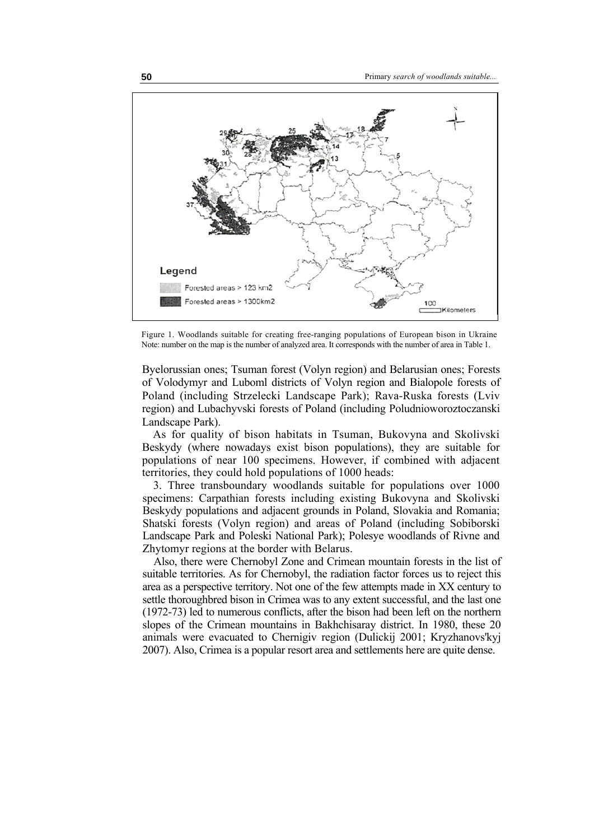

Figure 1. Woodlands suitable for creating free-ranging populations of European bison in Ukraine Note: number on the map is the number of analyzed area. It corresponds with the number of area in Table 1.

Byelorussian ones; Tsuman forest (Volyn region) and Belarusian ones; Forests of Volodymyr and Luboml districts of Volyn region and Bialopole forests of Poland (including Strzelecki Landscape Park); Rava-Ruska forests (Lviv region) and Lubachyvski forests of Poland (including Poludnioworoztoczanski Landscape Park).

As for quality of bison habitats in Tsuman, Bukovyna and Skolivski Beskydy (where nowadays exist bison populations), they are suitable for populations of near 100 specimens. However, if combined with adjacent territories, they could hold populations of 1000 heads:

3. Three transboundary woodlands suitable for populations over 1000 specimens: Carpathian forests including existing Bukovyna and Skolivski Beskydy populations and adjacent grounds in Poland, Slovakia and Romania; Shatski forests (Volyn region) and areas of Poland (including Sobiborski Landscape Park and Poleski National Park); Polesye woodlands of Rivne and Zhytomyr regions at the border with Belarus.

Also, there were Chernobyl Zone and Crimean mountain forests in the list of suitable territories. As for Chernobyl, the radiation factor forces us to reject this area as a perspective territory. Not one of the few attempts made in XX century to settle thoroughbred bison in Crimea was to any extent successful, and the last one (1972-73) led to numerous conflicts, after the bison had been left on the northern slopes of the Crimean mountains in Bakhchisaray district. In 1980, these 20 animals were evacuated to Chernigiv region (Dulickij 2001; Kryzhanovs'kyj 2007). Also, Crimea is a popular resort area and settlements here are quite dense.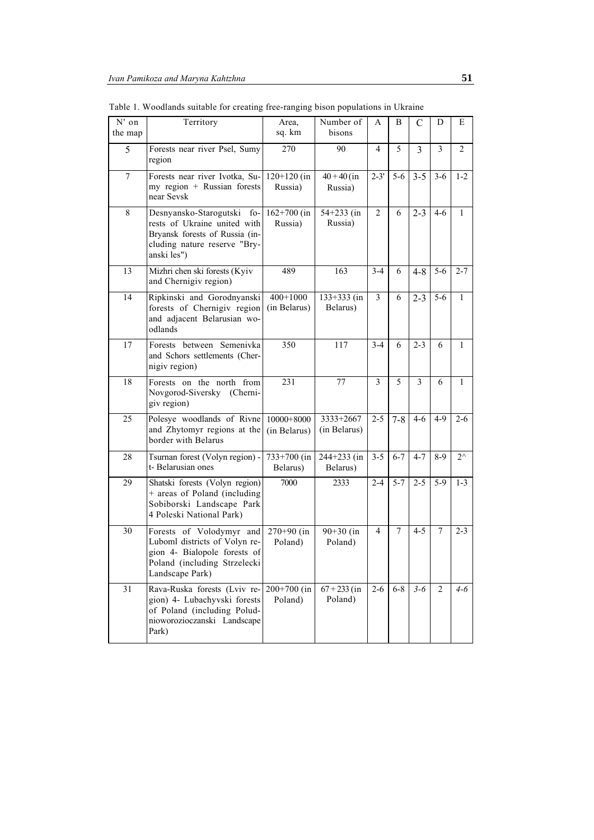| N' on          | Territory                                                                                                                                    | Area,                      | Number of                   | A              | B       | C       | D              | Е            |
|----------------|----------------------------------------------------------------------------------------------------------------------------------------------|----------------------------|-----------------------------|----------------|---------|---------|----------------|--------------|
| the map        |                                                                                                                                              | sq. km                     | bisons                      |                |         |         |                |              |
| 5              | Forests near river Psel, Sumy<br>region                                                                                                      | 270                        | 90                          | 4              | 5       | 3       | 3              | 2            |
| $\overline{7}$ | Forests near river Ivotka, Su-<br>my region + Russian forests<br>near Sevsk                                                                  | $120+120$ (in<br>Russia)   | $40 + 40$ (in<br>Russia)    | $2 - 3'$       | $5 - 6$ | $3 - 5$ | $3 - 6$        | $1 - 2$      |
| 8              | Desnyansko-Starogutski fo-<br>rests of Ukraine united with<br>Bryansk forests of Russia (in-<br>cluding nature reserve "Bry-<br>anski les")  | $162+700$ (in<br>Russia)   | $54 + 233$ (in<br>Russia)   | 2              | 6       | $2 - 3$ | $4-6$          | 1            |
| 13             | Mizhri chen ski forests (Kyiv<br>and Chernigiv region)                                                                                       | 489                        | 163                         | $3-4$          | 6       | $4 - 8$ | $5-6$          | $2 - 7$      |
| 14             | Ripkinski and Gorodnyanski<br>forests of Chernigiv region<br>and adjacent Belarusian wo-<br>odlands                                          | $400+1000$<br>(in Belarus) | $133+333$ (in<br>Belarus)   | $\overline{3}$ | 6       | $2 - 3$ | $5 - 6$        | 1            |
| 17             | Forests between Semenivka<br>and Schors settlements (Cher-<br>nigiv region)                                                                  | 350                        | 117                         | $3 - 4$        | 6       | $2 - 3$ | 6              | 1            |
| 18             | Forests on the north from<br>Novgorod-Siversky (Cherni-<br>giv region)                                                                       | 231                        | 77                          | 3              | 5       | 3       | 6              | 1            |
| 25             | Polesye woodlands of Rivne<br>and Zhytomyr regions at the<br>border with Belarus                                                             | 10000+8000<br>(in Belarus) | 3333+2667<br>(in Belarus)   | $2 - 5$        | $7 - 8$ | $4-6$   | $4-9$          | $2 - 6$      |
| 28             | Tsurnan forest (Volyn region) -<br>t-Belarusian ones                                                                                         | $733+700$ (in<br>Belarus)  | $244 + 233$ (in<br>Belarus) | $3 - 5$        | $6 - 7$ | $4 - 7$ | $8-9$          | $2^{\wedge}$ |
| 29             | Shatski forests (Volyn region)<br>+ areas of Poland (including<br>Sobiborski Landscape Park<br>4 Poleski National Park)                      | 7000                       | 2333                        | $2 - 4$        | $5 - 7$ | $2 - 5$ | $5-9$          | $1 - 3$      |
| 30             | Forests of Volodymyr and<br>Luboml districts of Volyn re-<br>gion 4- Bialopole forests of<br>Poland (including Strzelecki<br>Landscape Park) | $270+90$ (in<br>Poland)    | $90+30$ (in<br>Poland)      | 4              | 7       | $4 - 5$ | 7              | $2 - 3$      |
| 31             | Rava-Ruska forests (Lviv re-<br>gion) 4- Lubachyvski forests<br>of Poland (including Polud-<br>nioworozioczanski Landscape<br>Park)          | $200+700$ (in<br>Poland)   | $67 + 233$ (in<br>Poland)   | $2 - 6$        | $6 - 8$ | $3 - 6$ | $\overline{2}$ | $4 - 6$      |

Table 1. Woodlands suitable for creating free-ranging bison populations in Ukraine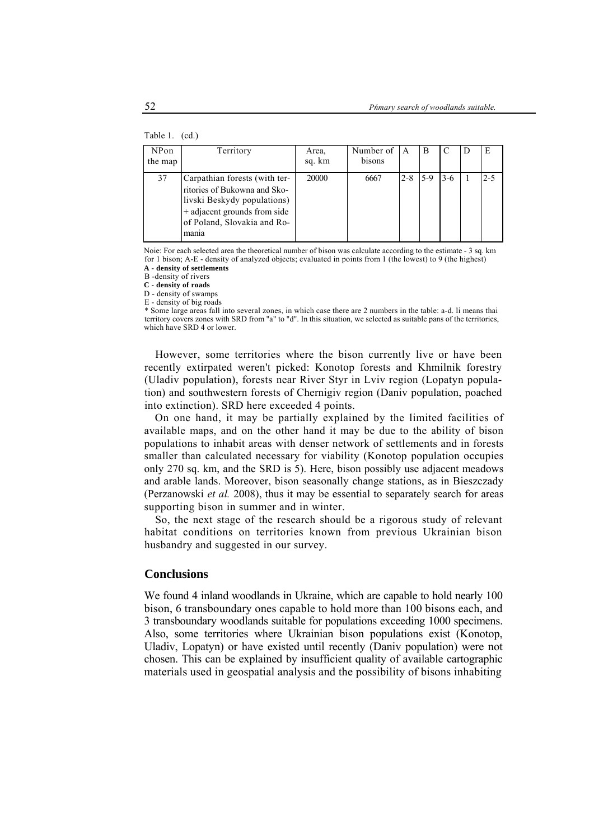#### Table 1. (cd.)

| NPon<br>the map | Territory                                                                                                                                                            | Area,<br>sq. km | Number of<br>bisons | A       | B   |       | E       |
|-----------------|----------------------------------------------------------------------------------------------------------------------------------------------------------------------|-----------------|---------------------|---------|-----|-------|---------|
| 37              | Carpathian forests (with ter-<br>ritories of Bukowna and Sko-<br>livski Beskydy populations)<br>+ adjacent grounds from side<br>of Poland, Slovakia and Ro-<br>mania | 20000           | 6667                | $2 - 8$ | 5-9 | $3-6$ | $2 - 5$ |

Noie: For each selected area the theoretical number of bison was calculate according to the estimate - 3 sq. km for 1 bison; A-E - density of analyzed objects; evaluated in points from 1 (the lowest) to 9 (the highest) **A - density of settlements**

B -density of rivers

**C - density of roads**

D - density of swamps

E - density of big roads

\* Some large areas fall into several zones, in which case there are 2 numbers in the table: a-d. li means thai territory covers zones with SRD from "a" to "d". In this situation, we selected as suitable pans of the territories, which have SRD 4 or lower.

However, some territories where the bison currently live or have been recently extirpated weren't picked: Konotop forests and Khmilnik forestry (Uladiv population), forests near River Styr in Lviv region (Lopatyn population) and southwestern forests of Chernigiv region (Daniv population, poached into extinction). SRD here exceeded 4 points.

On one hand, it may be partially explained by the limited facilities of available maps, and on the other hand it may be due to the ability of bison populations to inhabit areas with denser network of settlements and in forests smaller than calculated necessary for viability (Konotop population occupies only 270 sq. km, and the SRD is 5). Here, bison possibly use adjacent meadows and arable lands. Moreover, bison seasonally change stations, as in Bieszczady (Perzanowski *et al.* 2008), thus it may be essential to separately search for areas supporting bison in summer and in winter.

So, the next stage of the research should be a rigorous study of relevant habitat conditions on territories known from previous Ukrainian bison husbandry and suggested in our survey.

# **Conclusions**

We found 4 inland woodlands in Ukraine, which are capable to hold nearly 100 bison, 6 transboundary ones capable to hold more than 100 bisons each, and 3 transboundary woodlands suitable for populations exceeding 1000 specimens. Also, some territories where Ukrainian bison populations exist (Konotop, Uladiv, Lopatyn) or have existed until recently (Daniv population) were not chosen. This can be explained by insufficient quality of available cartographic materials used in geospatial analysis and the possibility of bisons inhabiting